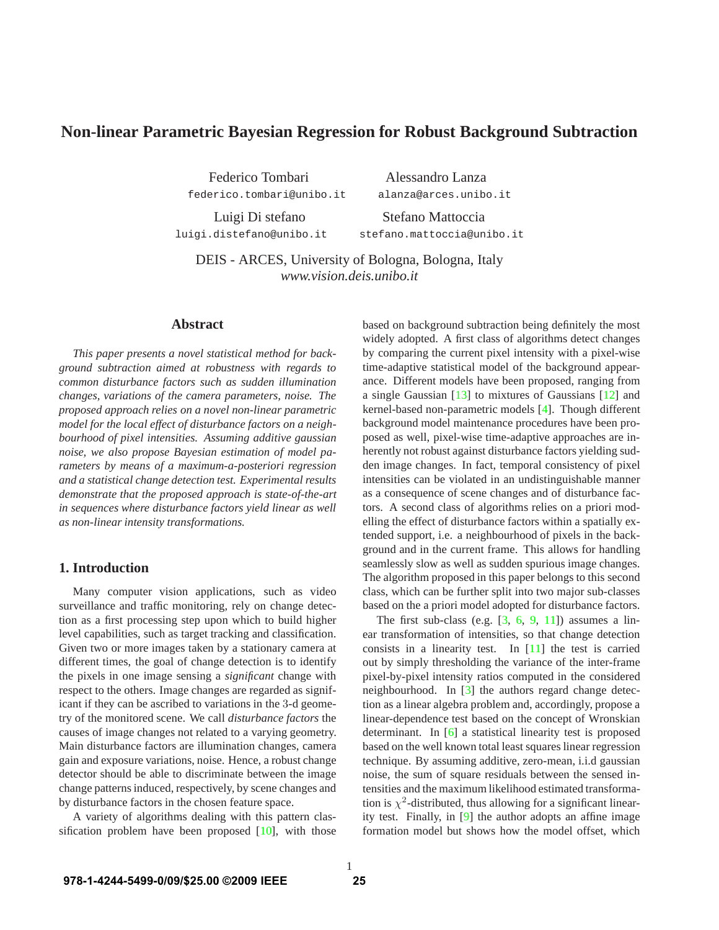# **Non-linear Parametric Bayesian Regression for Robust Background Subtraction**

Federico Tombari Alessandro Lanza federico.tombari@unibo.it alanza@arces.unibo.it

Luigi Di stefano Stefano Mattoccia luigi.distefano@unibo.it stefano.mattoccia@unibo.it

DEIS - ARCES, University of Bologna, Bologna, Italy *www.vision.deis.unibo.it*

## **Abstract**

*This paper presents a novel statistical method for background subtraction aimed at robustness with regards to common disturbance factors such as sudden illumination changes, variations of the camera parameters, noise. The proposed approach relies on a novel non-linear parametric model for the local effect of disturbance factors on a neighbourhood of pixel intensities. Assuming additive gaussian noise, we also propose Bayesian estimation of model parameters by means of a maximum-a-posteriori regression and a statistical change detection test. Experimental results demonstrate that the proposed approach is state-of-the-art in sequences where disturbance factors yield linear as well as non-linear intensity transformations.*

# **1. Introduction**

Many computer vision applications, such as video surveillance and traffic monitoring, rely on change detection as a first processing step upon which to build higher level capabilities, such as target tracking and classification. Given two or more images taken by a stationary camera at different times, the goal of change detection is to identify the pixels in one image sensing a *significant* change with respect to the others. Image changes are regarded as significant if they can be ascribed to variations in the 3-d geometry of the monitored scene. We call *disturbance factors* the causes of image changes not related to a varying geometry. Main disturbance factors are illumination changes, camera gain and exposure variations, noise. Hence, a robust change detector should be able to discriminate between the image change patterns induced, respectively, by scene changes and by disturbance factors in the chosen feature space.

A variety of algorithms dealing with this pattern classification problem have been proposed [10], with those based on background subtraction being definitely the most widely adopted. A first class of algorithms detect changes by comparing the current pixel intensity with a pixel-wise time-adaptive statistical model of the background appearance. Different models have been proposed, ranging from a single Gaussian [13] to mixtures of Gaussians [12] and kernel-based non-parametric models [4]. Though different background model maintenance procedures have been proposed as well, pixel-wise time-adaptive approaches are inherently not robust against disturbance factors yielding sudden image changes. In fact, temporal consistency of pixel intensities can be violated in an undistinguishable manner as a consequence of scene changes and of disturbance factors. A second class of algorithms relies on a priori modelling the effect of disturbance factors within a spatially extended support, i.e. a neighbourhood of pixels in the background and in the current frame. This allows for handling seamlessly slow as well as sudden spurious image changes. The algorithm proposed in this paper belongs to this second class, which can be further split into two major sub-classes based on the a priori model adopted for disturbance factors.

The first sub-class (e.g.  $[3, 6, 9, 11]$ ) assumes a linear transformation of intensities, so that change detection consists in a linearity test. In [11] the test is carried out by simply thresholding the variance of the inter-frame pixel-by-pixel intensity ratios computed in the considered neighbourhood. In [3] the authors regard change detection as a linear algebra problem and, accordingly, propose a linear-dependence test based on the concept of Wronskian determinant. In [6] a statistical linearity test is proposed based on the well known total least squares linear regression technique. By assuming additive, zero-mean, i.i.d gaussian noise, the sum of square residuals between the sensed intensities and the maximum likelihood estimated transformation is  $\chi^2$ -distributed, thus allowing for a significant linearity test. Finally, in [9] the author adopts an affine image formation model but shows how the model offset, which

1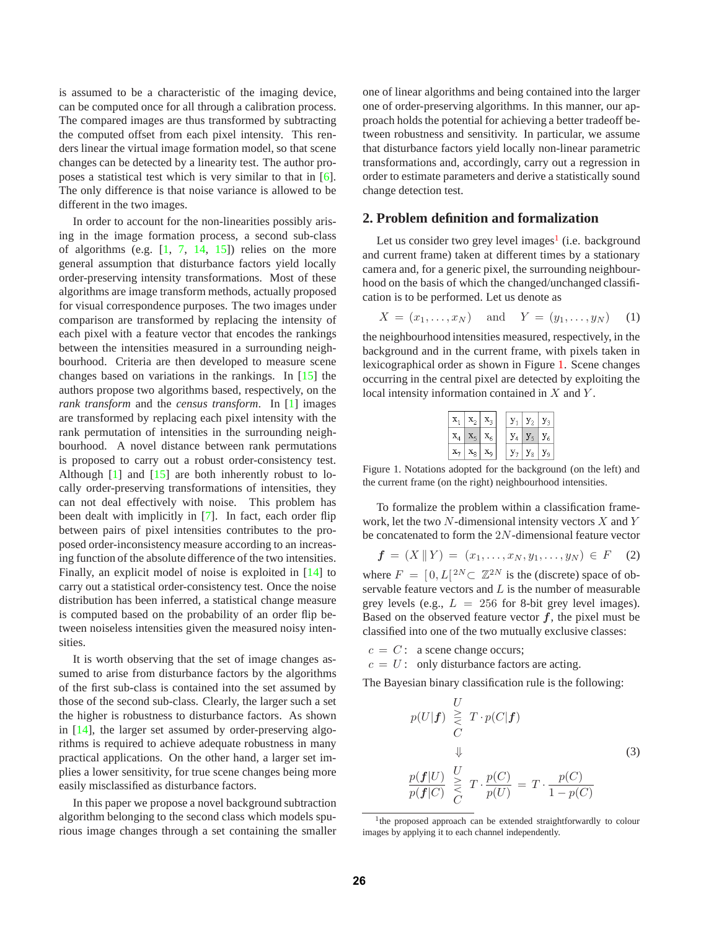is assumed to be a characteristic of the imaging device, can be computed once for all through a calibration process. The compared images are thus transformed by subtracting the computed offset from each pixel intensity. This renders linear the virtual image formation model, so that scene changes can be detected by a linearity test. The author proposes a statistical test which is very similar to that in [6]. The only difference is that noise variance is allowed to be different in the two images.

In order to account for the non-linearities possibly arising in the image formation process, a second sub-class of algorithms (e.g.  $[1, 7, 14, 15]$ ) relies on the more general assumption that disturbance factors yield locally order-preserving intensity transformations. Most of these algorithms are image transform methods, actually proposed for visual correspondence purposes. The two images under comparison are transformed by replacing the intensity of each pixel with a feature vector that encodes the rankings between the intensities measured in a surrounding neighbourhood. Criteria are then developed to measure scene changes based on variations in the rankings. In [15] the authors propose two algorithms based, respectively, on the *rank transform* and the *census transform*. In [1] images are transformed by replacing each pixel intensity with the rank permutation of intensities in the surrounding neighbourhood. A novel distance between rank permutations is proposed to carry out a robust order-consistency test. Although  $[1]$  and  $[15]$  are both inherently robust to locally order-preserving transformations of intensities, they can not deal effectively with noise. This problem has been dealt with implicitly in [7]. In fact, each order flip between pairs of pixel intensities contributes to the proposed order-inconsistency measure according to an increasing function of the absolute difference of the two intensities. Finally, an explicit model of noise is exploited in [14] to carry out a statistical order-consistency test. Once the noise distribution has been inferred, a statistical change measure is computed based on the probability of an order flip between noiseless intensities given the measured noisy intensities.

It is worth observing that the set of image changes assumed to arise from disturbance factors by the algorithms of the first sub-class is contained into the set assumed by those of the second sub-class. Clearly, the larger such a set the higher is robustness to disturbance factors. As shown in [14], the larger set assumed by order-preserving algorithms is required to achieve adequate robustness in many practical applications. On the other hand, a larger set implies a lower sensitivity, for true scene changes being more easily misclassified as disturbance factors.

In this paper we propose a novel background subtraction algorithm belonging to the second class which models spurious image changes through a set containing the smaller one of linear algorithms and being contained into the larger one of order-preserving algorithms. In this manner, our approach holds the potential for achieving a better tradeoff between robustness and sensitivity. In particular, we assume that disturbance factors yield locally non-linear parametric transformations and, accordingly, carry out a regression in order to estimate parameters and derive a statistically sound change detection test.

### **2. Problem definition and formalization**

Let us consider two grey level images<sup>1</sup> (i.e. background and current frame) taken at different times by a stationary camera and, for a generic pixel, the surrounding neighbourhood on the basis of which the changed/unchanged classification is to be performed. Let us denote as

$$
X = (x_1, ..., x_N)
$$
 and  $Y = (y_1, ..., y_N)$  (1)

the neighbourhood intensities measured, respectively, in the background and in the current frame, with pixels taken in lexicographical order as shown in Figure 1. Scene changes occurring in the central pixel are detected by exploiting the local intensity information contained in X and Y .

| $\mathbf{x}_1 \mid \mathbf{x}_2 \mid \mathbf{x}_3$ |  | $y_1$ $y_2$ $y_3$ |  |
|----------------------------------------------------|--|-------------------|--|
| $\mathbf{x}_4 \mid \mathbf{x}_5 \mid \mathbf{x}_6$ |  | $y_4$ $y_5$ $y_6$ |  |
| $\mathbf{x}_7 \mid \mathbf{x}_8 \mid \mathbf{x}_9$ |  | $y_7   y_8   y_9$ |  |

Figure 1. Notations adopted for the background (on the left) and the current frame (on the right) neighbourhood intensities.

To formalize the problem within a classification framework, let the two N-dimensional intensity vectors X and Y be concatenated to form the <sup>2</sup>N-dimensional feature vector

$$
f = (X \, \| \, Y) = (x_1, \dots, x_N, y_1, \dots, y_N) \in F \quad (2)
$$

where  $F = [0, L[^{2N} \subset \mathbb{Z}^{2N}]$  is the (discrete) space of ob-<br>servable feature vectors and L is the number of measurable servable feature vectors and  $L$  is the number of measurable grey levels (e.g.,  $L = 256$  for 8-bit grey level images). Based on the observed feature vector  $f$ , the pixel must be classified into one of the two mutually exclusive classes:

 $c = C$ : a scene change occurs;

 $c = U$ : only disturbance factors are acting.

The Bayesian binary classification rule is the following:

$$
p(U|\mathbf{f}) \overset{U}{\underset{C}{\geq}} T \cdot p(C|\mathbf{f})
$$
  
\n
$$
\Downarrow
$$
  
\n
$$
\frac{p(\mathbf{f}|U)}{p(\mathbf{f}|C)} \overset{U}{\underset{C}{\geq}} T \cdot \frac{p(C)}{p(U)} = T \cdot \frac{p(C)}{1 - p(C)}
$$
  
\n(3)

<sup>&</sup>lt;sup>1</sup>the proposed approach can be extended straightforwardly to colour images by applying it to each channel independently.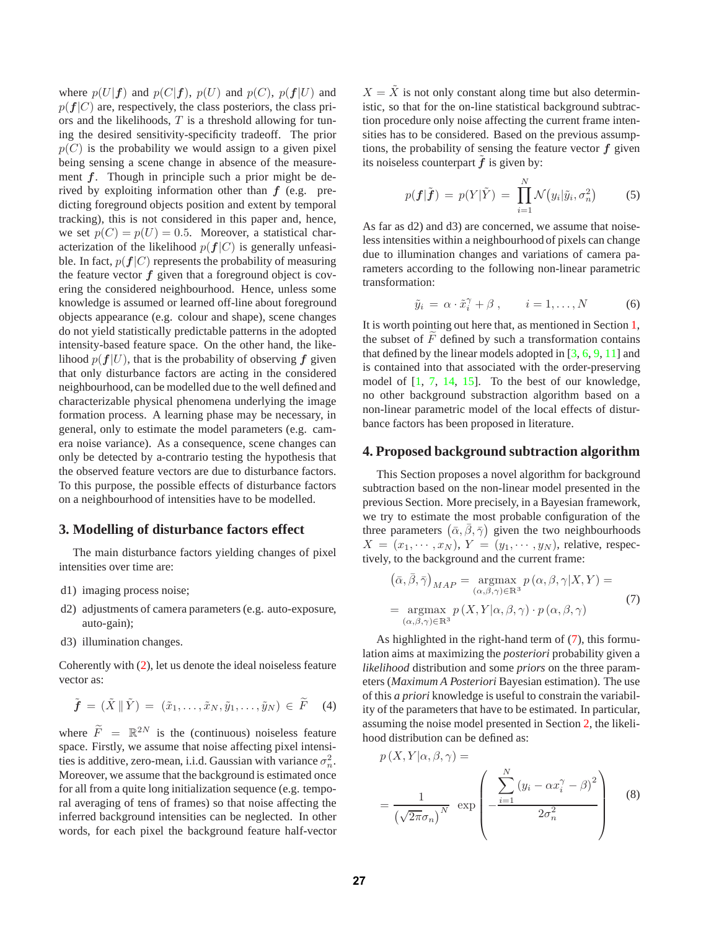where  $p(U|f)$  and  $p(C|f)$ ,  $p(U)$  and  $p(C)$ ,  $p(f|U)$  and  $p(f|C)$  are, respectively, the class posteriors, the class priors and the likelihoods,  $T$  is a threshold allowing for tuning the desired sensitivity-specificity tradeoff. The prior  $p(C)$  is the probability we would assign to a given pixel being sensing a scene change in absence of the measurement *f*. Though in principle such a prior might be derived by exploiting information other than *f* (e.g. predicting foreground objects position and extent by temporal tracking), this is not considered in this paper and, hence, we set  $p(C) = p(U) = 0.5$ . Moreover, a statistical characterization of the likelihood  $p(f|C)$  is generally unfeasible. In fact,  $p(f|C)$  represents the probability of measuring the feature vector *f* given that a foreground object is covering the considered neighbourhood. Hence, unless some knowledge is assumed or learned off-line about foreground objects appearance (e.g. colour and shape), scene changes do not yield statistically predictable patterns in the adopted intensity-based feature space. On the other hand, the likelihood  $p(f|U)$ , that is the probability of observing  $f$  given that only disturbance factors are acting in the considered neighbourhood, can be modelled due to the well defined and characterizable physical phenomena underlying the image formation process. A learning phase may be necessary, in general, only to estimate the model parameters (e.g. camera noise variance). As a consequence, scene changes can only be detected by a-contrario testing the hypothesis that the observed feature vectors are due to disturbance factors. To this purpose, the possible effects of disturbance factors on a neighbourhood of intensities have to be modelled.

# **3. Modelling of disturbance factors effect**

The main disturbance factors yielding changes of pixel intensities over time are:

- d1) imaging process noise;
- d2) adjustments of camera parameters (e.g. auto-exposure, auto-gain);
- d3) illumination changes.

Coherently with (2), let us denote the ideal noiseless feature vector as:

$$
\tilde{\boldsymbol{f}} = (\tilde{X} \parallel \tilde{Y}) = (\tilde{x}_1, \dots, \tilde{x}_N, \tilde{y}_1, \dots, \tilde{y}_N) \in \tilde{F} \quad (4)
$$

where  $\widetilde{F} = \mathbb{R}^{2N}$  is the (continuous) noiseless feature<br>space. Firstly, we assume that noise affecting pixel intensispace. Firstly, we assume that noise affecting pixel intensities is additive, zero-mean, i.i.d. Gaussian with variance  $\sigma_n^2$ .<br>Moreover, we assume that the background is estimated once Moreover, we assume that the background is estimated once for all from a quite long initialization sequence (e.g. temporal averaging of tens of frames) so that noise affecting the inferred background intensities can be neglected. In other words, for each pixel the background feature half-vector  $X = \tilde{X}$  is not only constant along time but also deterministic, so that for the on-line statistical background subtraction procedure only noise affecting the current frame intensities has to be considered. Based on the previous assumptions, the probability of sensing the feature vector *f* given its noiseless counterpart  $\tilde{f}$  is given by:

$$
p(\boldsymbol{f}|\tilde{\boldsymbol{f}}) = p(Y|\tilde{Y}) = \prod_{i=1}^{N} \mathcal{N}(y_i|\tilde{y}_i, \sigma_n^2)
$$
 (5)

As far as d2) and d3) are concerned, we assume that noiseless intensities within a neighbourhood of pixels can change due to illumination changes and variations of camera parameters according to the following non-linear parametric transformation:

$$
\tilde{y}_i = \alpha \cdot \tilde{x}_i^{\gamma} + \beta , \qquad i = 1, \dots, N \tag{6}
$$

It is worth pointing out here that, as mentioned in Section 1, the subset of  $F$  defined by such a transformation contains<br>that defined by the linear models adopted in  $[3, 6, 9, 11]$  and that defined by the linear models adopted in [3, 6, 9, 11] and is contained into that associated with the order-preserving model of  $[1, 7, 14, 15]$ . To the best of our knowledge, no other background substraction algorithm based on a non-linear parametric model of the local effects of disturbance factors has been proposed in literature.

#### **4. Proposed background subtraction algorithm**

This Section proposes a novel algorithm for background subtraction based on the non-linear model presented in the previous Section. More precisely, in a Bayesian framework, we try to estimate the most probable configuration of the three parameters  $(\bar{\alpha}, \bar{\beta}, \bar{\gamma})$  given the two neighbourhoods<br>  $X = (x_1, \ldots, x_N)$   $Y = (y_1, \ldots, y_N)$  relative respec- $X = (x_1, \dots, x_N), Y = (y_1, \dots, y_N)$ , relative, respectively, to the background and the current frame:

$$
(\bar{\alpha}, \bar{\beta}, \bar{\gamma})_{MAP} = \underset{(\alpha, \beta, \gamma) \in \mathbb{R}^3}{\text{argmax}} p(\alpha, \beta, \gamma | X, Y) =
$$

$$
= \underset{(\alpha, \beta, \gamma) \in \mathbb{R}^3}{\text{argmax}} p(X, Y | \alpha, \beta, \gamma) \cdot p(\alpha, \beta, \gamma)
$$
(7)

As highlighted in the right-hand term of (7), this formulation aims at maximizing the *posteriori* probability given a *likelihood* distribution and some *priors* on the three parameters (*Maximum A Posteriori* Bayesian estimation). The use of this *a priori* knowledge is useful to constrain the variability of the parameters that have to be estimated. In particular, assuming the noise model presented in Section 2, the likelihood distribution can be defined as:

$$
p(X, Y | \alpha, \beta, \gamma) =
$$
  
= 
$$
\frac{1}{(\sqrt{2\pi}\sigma_n)^N} \exp\left(-\frac{\sum_{i=1}^N (y_i - \alpha x_i^{\gamma} - \beta)^2}{2\sigma_n^2}\right)
$$
 (8)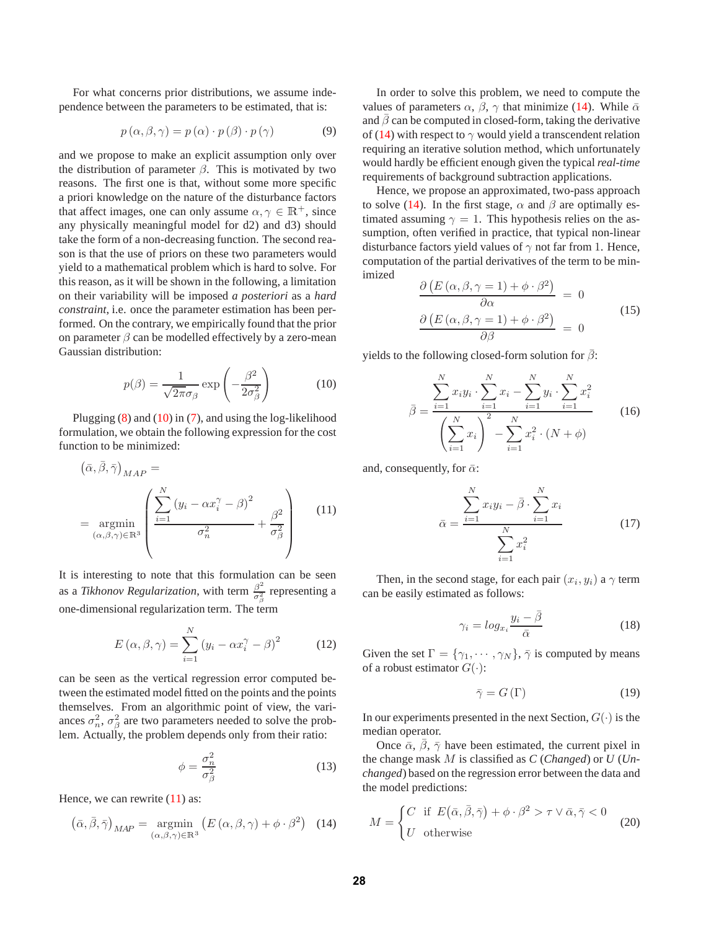For what concerns prior distributions, we assume independence between the parameters to be estimated, that is:

$$
p(\alpha, \beta, \gamma) = p(\alpha) \cdot p(\beta) \cdot p(\gamma)
$$
 (9)

and we propose to make an explicit assumption only over the distribution of parameter  $\beta$ . This is motivated by two reasons. The first one is that, without some more specific a priori knowledge on the nature of the disturbance factors that affect images, one can only assume  $\alpha, \gamma \in \mathbb{R}^+$ , since any physically meaningful model for d2) and d3) should take the form of a non-decreasing function. The second reason is that the use of priors on these two parameters would yield to a mathematical problem which is hard to solve. For this reason, as it will be shown in the following, a limitation on their variability will be imposed *a posteriori* as a *hard constraint*, i.e. once the parameter estimation has been performed. On the contrary, we empirically found that the prior on parameter  $\beta$  can be modelled effectively by a zero-mean Gaussian distribution:

$$
p(\beta) = \frac{1}{\sqrt{2\pi}\sigma_{\beta}} \exp\left(-\frac{\beta^2}{2\sigma_{\beta}^2}\right)
$$
 (10)

Plugging  $(8)$  and  $(10)$  in  $(7)$ , and using the log-likelihood formulation, we obtain the following expression for the cost function to be minimized:

$$
(\bar{\alpha}, \beta, \bar{\gamma})_{MAP} = \frac{\sum_{i=1}^{N} (y_i - \alpha x_i^{\gamma} - \beta)^2}{\sum_{(\alpha, \beta, \gamma) \in \mathbb{R}^3} \left( \frac{\sum_{i=1}^{N} (y_i - \alpha x_i^{\gamma} - \beta)^2}{\sigma_n^2} + \frac{\beta^2}{\sigma_{\beta}^2} \right)}
$$
(11)

It is interesting to note that this formulation can be seen as a *Tikhonov Regularization*, with term  $\frac{\beta^2}{\sigma_{\beta}^2}$  representing a one-dimensional regularization term. The term

$$
E(\alpha, \beta, \gamma) = \sum_{i=1}^{N} (y_i - \alpha x_i^{\gamma} - \beta)^2
$$
 (12)

can be seen as the vertical regression error computed between the estimated model fitted on the points and the points themselves. From an algorithmic point of view, the variances  $\sigma_n^2$ ,  $\sigma_\beta^2$  are two parameters needed to solve the prob-<br>lem. Actually, the problem depends only from their ratio: lem. Actually, the problem depends only from their ratio:

$$
\phi = \frac{\sigma_n^2}{\sigma_\beta^2} \tag{13}
$$

Hence, we can rewrite  $(11)$  as:

 $\alpha$ ,  $\alpha$  =  $\alpha$ 

$$
(\bar{\alpha}, \bar{\beta}, \bar{\gamma})_{MAP} = \underset{(\alpha, \beta, \gamma) \in \mathbb{R}^3}{\text{argmin}} \left( E(\alpha, \beta, \gamma) + \phi \cdot \beta^2 \right) \tag{14}
$$

In order to solve this problem, we need to compute the values of parameters  $\alpha$ ,  $\beta$ ,  $\gamma$  that minimize (14). While  $\bar{\alpha}$ and  $\beta$  can be computed in closed-form, taking the derivative of (14) with respect to  $\gamma$  would yield a transcendent relation requiring an iterative solution method, which unfortunately would hardly be efficient enough given the typical *real-time* requirements of background subtraction applications.

Hence, we propose an approximated, two-pass approach to solve (14). In the first stage,  $\alpha$  and  $\beta$  are optimally estimated assuming  $\gamma = 1$ . This hypothesis relies on the assumption, often verified in practice, that typical non-linear disturbance factors yield values of  $\gamma$  not far from 1. Hence, computation of the partial derivatives of the term to be minimized

$$
\frac{\partial (E(\alpha, \beta, \gamma = 1) + \phi \cdot \beta^2)}{\partial \alpha} = 0
$$
\n
$$
\frac{\partial (E(\alpha, \beta, \gamma = 1) + \phi \cdot \beta^2)}{\partial \beta} = 0
$$
\n(15)

yields to the following closed-form solution for  $\beta$ :

$$
\bar{\beta} = \frac{\sum_{i=1}^{N} x_i y_i \cdot \sum_{i=1}^{N} x_i - \sum_{i=1}^{N} y_i \cdot \sum_{i=1}^{N} x_i^2}{\left(\sum_{i=1}^{N} x_i\right)^2 - \sum_{i=1}^{N} x_i^2 \cdot (N + \phi)}
$$
(16)

and, consequently, for  $\bar{\alpha}$ :

$$
\bar{\alpha} = \frac{\sum_{i=1}^{N} x_i y_i - \bar{\beta} \cdot \sum_{i=1}^{N} x_i}{\sum_{i=1}^{N} x_i^2}
$$
(17)

Then, in the second stage, for each pair  $(x_i, y_i)$  a  $\gamma$  term can be easily estimated as follows:

$$
\gamma_i = \log_{x_i} \frac{y_i - \bar{\beta}}{\bar{\alpha}} \tag{18}
$$

Given the set  $\Gamma = {\gamma_1, \cdots, \gamma_N}$ ,  $\bar{\gamma}$  is computed by means of a robust estimator  $G(\cdot)$ :

$$
\bar{\gamma} = G\left(\Gamma\right) \tag{19}
$$

In our experiments presented in the next Section,  $G(\cdot)$  is the median operator.

Once  $\bar{\alpha}$ ,  $\bar{\beta}$ ,  $\bar{\gamma}$  have been estimated, the current pixel in the change mask M is classified as *<sup>C</sup>* (*Changed*) or *<sup>U</sup>* (*Unchanged*) based on the regression error between the data and the model predictions:

$$
M = \begin{cases} C & \text{if } E(\bar{\alpha}, \bar{\beta}, \bar{\gamma}) + \phi \cdot \beta^2 > \tau \vee \bar{\alpha}, \bar{\gamma} < 0 \\ U & \text{otherwise} \end{cases}
$$
 (20)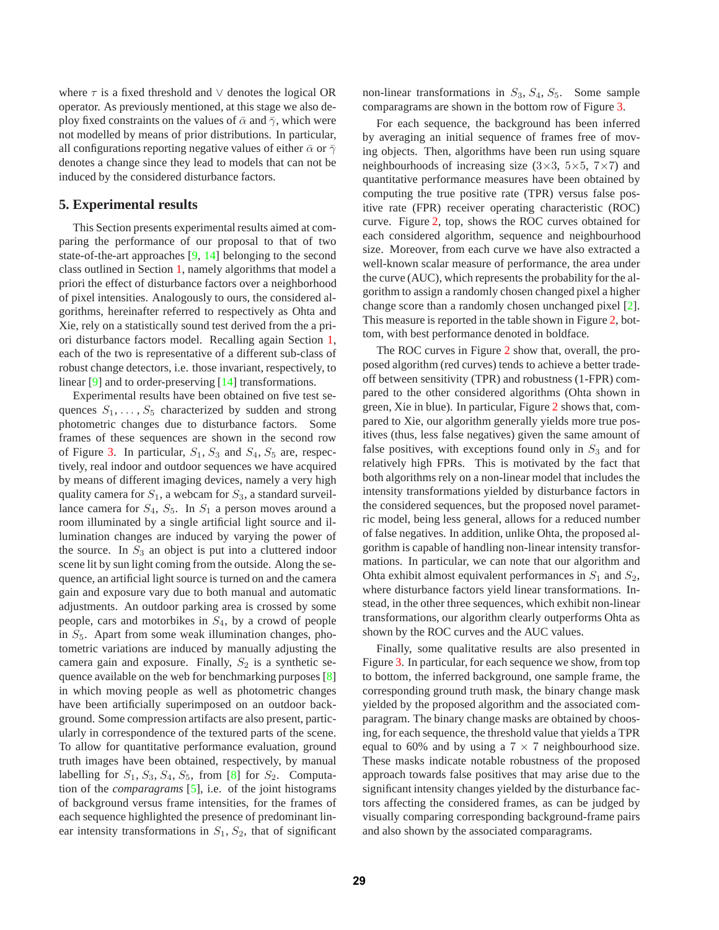where  $\tau$  is a fixed threshold and  $\vee$  denotes the logical OR operator. As previously mentioned, at this stage we also deploy fixed constraints on the values of  $\bar{\alpha}$  and  $\bar{\gamma}$ , which were not modelled by means of prior distributions. In particular, all configurations reporting negative values of either  $\bar{\alpha}$  or  $\bar{\gamma}$ denotes a change since they lead to models that can not be induced by the considered disturbance factors.

### **5. Experimental results**

This Section presents experimental results aimed at comparing the performance of our proposal to that of two state-of-the-art approaches [9, 14] belonging to the second class outlined in Section 1, namely algorithms that model a priori the effect of disturbance factors over a neighborhood of pixel intensities. Analogously to ours, the considered algorithms, hereinafter referred to respectively as Ohta and Xie, rely on a statistically sound test derived from the a priori disturbance factors model. Recalling again Section 1, each of the two is representative of a different sub-class of robust change detectors, i.e. those invariant, respectively, to linear [9] and to order-preserving [14] transformations.

Experimental results have been obtained on five test sequences  $S_1, \ldots, S_5$  characterized by sudden and strong photometric changes due to disturbance factors. Some frames of these sequences are shown in the second row of Figure 3. In particular,  $S_1$ ,  $S_3$  and  $S_4$ ,  $S_5$  are, respectively, real indoor and outdoor sequences we have acquired by means of different imaging devices, namely a very high quality camera for  $S_1$ , a webcam for  $S_3$ , a standard surveillance camera for  $S_4$ ,  $S_5$ . In  $S_1$  a person moves around a room illuminated by a single artificial light source and illumination changes are induced by varying the power of the source. In  $S_3$  an object is put into a cluttered indoor scene lit by sun light coming from the outside. Along the sequence, an artificial light source is turned on and the camera gain and exposure vary due to both manual and automatic adjustments. An outdoor parking area is crossed by some people, cars and motorbikes in  $S_4$ , by a crowd of people in  $S_5$ . Apart from some weak illumination changes, photometric variations are induced by manually adjusting the camera gain and exposure. Finally,  $S_2$  is a synthetic sequence available on the web for benchmarking purposes [8] in which moving people as well as photometric changes have been artificially superimposed on an outdoor background. Some compression artifacts are also present, particularly in correspondence of the textured parts of the scene. To allow for quantitative performance evaluation, ground truth images have been obtained, respectively, by manual labelling for  $S_1$ ,  $S_3$ ,  $S_4$ ,  $S_5$ , from [8] for  $S_2$ . Computation of the *comparagrams* [5], i.e. of the joint histograms of background versus frame intensities, for the frames of each sequence highlighted the presence of predominant linear intensity transformations in  $S_1$ ,  $S_2$ , that of significant non-linear transformations in  $S_3$ ,  $S_4$ ,  $S_5$ . Some sample comparagrams are shown in the bottom row of Figure 3.

For each sequence, the background has been inferred by averaging an initial sequence of frames free of moving objects. Then, algorithms have been run using square neighbourhoods of increasing size  $(3\times3, 5\times5, 7\times7)$  and quantitative performance measures have been obtained by computing the true positive rate (TPR) versus false positive rate (FPR) receiver operating characteristic (ROC) curve. Figure 2, top, shows the ROC curves obtained for each considered algorithm, sequence and neighbourhood size. Moreover, from each curve we have also extracted a well-known scalar measure of performance, the area under the curve (AUC), which represents the probability for the algorithm to assign a randomly chosen changed pixel a higher change score than a randomly chosen unchanged pixel [2]. This measure is reported in the table shown in Figure 2, bottom, with best performance denoted in boldface.

The ROC curves in Figure 2 show that, overall, the proposed algorithm (red curves) tends to achieve a better tradeoff between sensitivity (TPR) and robustness (1-FPR) compared to the other considered algorithms (Ohta shown in green, Xie in blue). In particular, Figure 2 shows that, compared to Xie, our algorithm generally yields more true positives (thus, less false negatives) given the same amount of false positives, with exceptions found only in  $S_3$  and for relatively high FPRs. This is motivated by the fact that both algorithms rely on a non-linear model that includes the intensity transformations yielded by disturbance factors in the considered sequences, but the proposed novel parametric model, being less general, allows for a reduced number of false negatives. In addition, unlike Ohta, the proposed algorithm is capable of handling non-linear intensity transformations. In particular, we can note that our algorithm and Ohta exhibit almost equivalent performances in  $S_1$  and  $S_2$ , where disturbance factors yield linear transformations. Instead, in the other three sequences, which exhibit non-linear transformations, our algorithm clearly outperforms Ohta as shown by the ROC curves and the AUC values.

Finally, some qualitative results are also presented in Figure 3. In particular, for each sequence we show, from top to bottom, the inferred background, one sample frame, the corresponding ground truth mask, the binary change mask yielded by the proposed algorithm and the associated comparagram. The binary change masks are obtained by choosing, for each sequence, the threshold value that yields a TPR equal to 60% and by using a  $7 \times 7$  neighbourhood size. These masks indicate notable robustness of the proposed approach towards false positives that may arise due to the significant intensity changes yielded by the disturbance factors affecting the considered frames, as can be judged by visually comparing corresponding background-frame pairs and also shown by the associated comparagrams.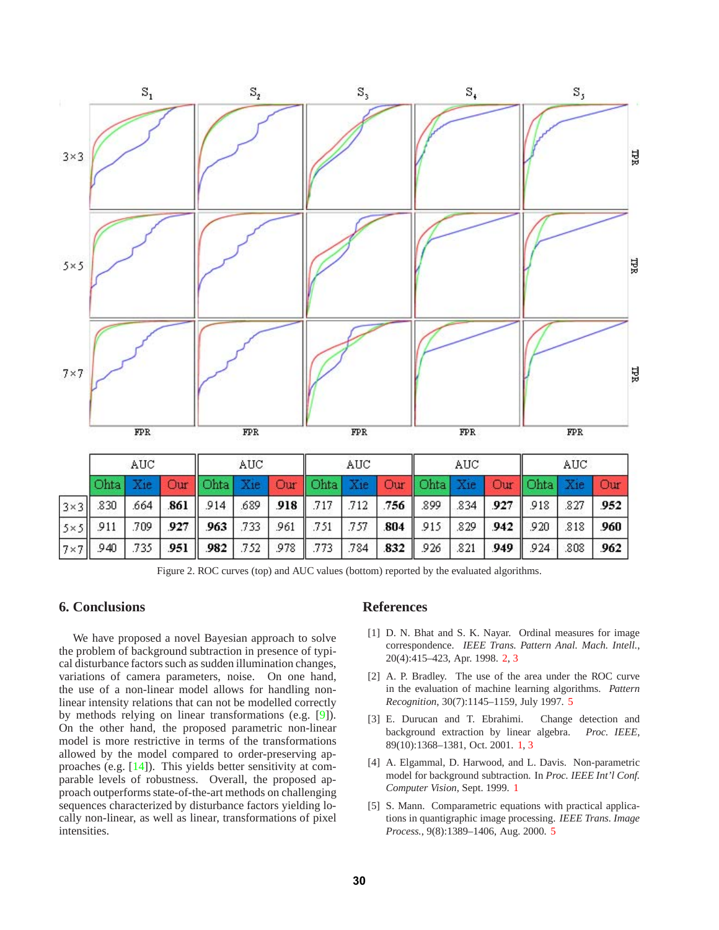

Figure 2. ROC curves (top) and AUC values (bottom) reported by the evaluated algorithms.

## **6. Conclusions**

We have proposed a novel Bayesian approach to solve the problem of background subtraction in presence of typical disturbance factors such as sudden illumination changes, variations of camera parameters, noise. On one hand, the use of a non-linear model allows for handling nonlinear intensity relations that can not be modelled correctly by methods relying on linear transformations (e.g. [9]). On the other hand, the proposed parametric non-linear model is more restrictive in terms of the transformations allowed by the model compared to order-preserving approaches (e.g. [14]). This yields better sensitivity at comparable levels of robustness. Overall, the proposed approach outperforms state-of-the-art methods on challenging sequences characterized by disturbance factors yielding locally non-linear, as well as linear, transformations of pixel intensities.

## **References**

- [1] D. N. Bhat and S. K. Nayar. Ordinal measures for image correspondence. *IEEE Trans. Pattern Anal. Mach. Intell.*, 20(4):415–423, Apr. 1998. 2, 3
- [2] A. P. Bradley. The use of the area under the ROC curve in the evaluation of machine learning algorithms. *Pattern Recognition*, 30(7):1145–1159, July 1997. 5
- [3] E. Durucan and T. Ebrahimi. Change detection and background extraction by linear algebra. *Proc. IEEE*, 89(10):1368–1381, Oct. 2001. 1, 3
- [4] A. Elgammal, D. Harwood, and L. Davis. Non-parametric model for background subtraction. In *Proc. IEEE Int'l Conf. Computer Vision*, Sept. 1999. 1
- [5] S. Mann. Comparametric equations with practical applications in quantigraphic image processing. *IEEE Trans. Image Process.*, 9(8):1389–1406, Aug. 2000. 5